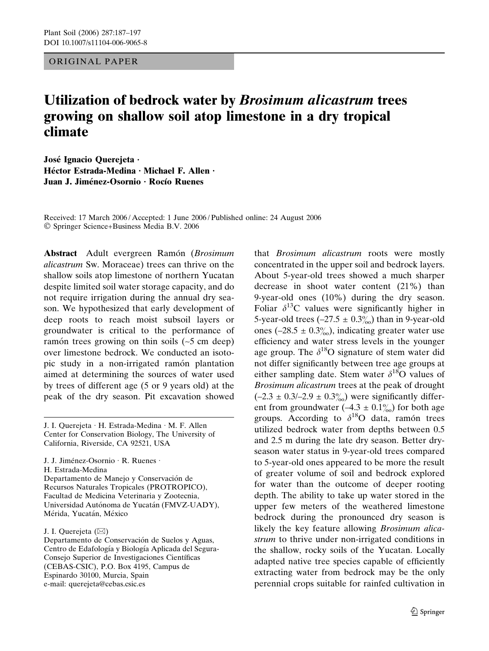ORIGINAL PAPER

# Utilization of bedrock water by Brosimum alicastrum trees growing on shallow soil atop limestone in a dry tropical climate

José Ignacio Querejeta · Héctor Estrada-Medina · Michael F. Allen · Juan J. Jiménez-Osornio · Rocío Ruenes

Received: 17 March 2006 / Accepted: 1 June 2006 / Published online: 24 August 2006 Springer Science+Business Media B.V. 2006

Abstract Adult evergreen Ramón (Brosimum alicastrum Sw. Moraceae) trees can thrive on the shallow soils atop limestone of northern Yucatan despite limited soil water storage capacity, and do not require irrigation during the annual dry season. We hypothesized that early development of deep roots to reach moist subsoil layers or groundwater is critical to the performance of ramón trees growing on thin soils  $(-5 \text{ cm deep})$ over limestone bedrock. We conducted an isotopic study in a non-irrigated ramón plantation aimed at determining the sources of water used by trees of different age (5 or 9 years old) at the peak of the dry season. Pit excavation showed

J. I. Querejeta · H. Estrada-Medina · M. F. Allen Center for Conservation Biology, The University of California, Riverside, CA 92521, USA

J. J. Jiménez-Osornio · R. Ruenes ·

H. Estrada-Medina

Departamento de Manejo y Conservación de Recursos Naturales Tropicales (PROTROPICO), Facultad de Medicina Veterinaria y Zootecnia, Universidad Autónoma de Yucatán (FMVZ-UADY), Mérida, Yucatán, México

J. I. Querejeta  $(\boxtimes)$ 

Departamento de Conservación de Suelos y Aguas, Centro de Edafología y Biología Aplicada del Segura-Consejo Superior de Investigaciones Científicas (CEBAS-CSIC), P.O. Box 4195, Campus de Espinardo 30100, Murcia, Spain e-mail: querejeta@cebas.csic.es

that Brosimum alicastrum roots were mostly concentrated in the upper soil and bedrock layers. About 5-year-old trees showed a much sharper decrease in shoot water content (21%) than 9-year-old ones (10%) during the dry season. Foliar  $\delta^{13}$ C values were significantly higher in 5-year-old trees  $(-27.5 \pm 0.3\%)$  than in 9-year-old ones ( $-28.5 \pm 0.3\%$ ), indicating greater water use efficiency and water stress levels in the younger age group. The  $\delta^{18}O$  signature of stem water did not differ significantly between tree age groups at either sampling date. Stem water  $\delta^{18}$ O values of Brosimum alicastrum trees at the peak of drought  $(-2.3 \pm 0.3/-2.9 \pm 0.3\%)$  were significantly different from groundwater  $(-4.3 \pm 0.1\%)$  for both age groups. According to  $\delta^{18}$ O data, ramón trees utilized bedrock water from depths between 0.5 and 2.5 m during the late dry season. Better dryseason water status in 9-year-old trees compared to 5-year-old ones appeared to be more the result of greater volume of soil and bedrock explored for water than the outcome of deeper rooting depth. The ability to take up water stored in the upper few meters of the weathered limestone bedrock during the pronounced dry season is likely the key feature allowing Brosimum alicastrum to thrive under non-irrigated conditions in the shallow, rocky soils of the Yucatan. Locally adapted native tree species capable of efficiently extracting water from bedrock may be the only perennial crops suitable for rainfed cultivation in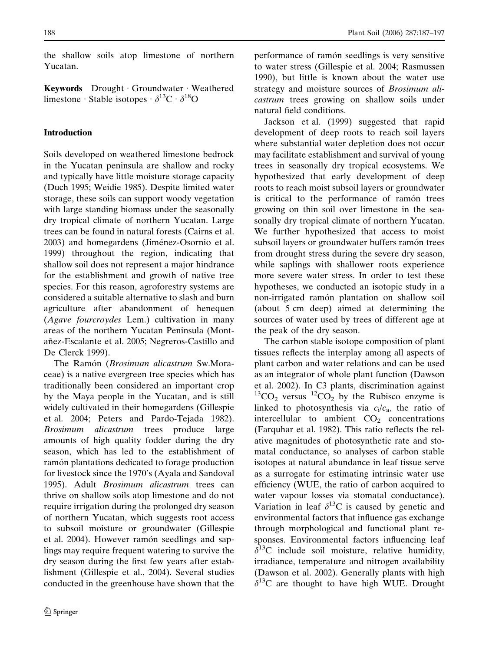the shallow soils atop limestone of northern Yucatan.

Keywords Drought Groundwater Weathered limestone  $\cdot$  Stable isotopes  $\cdot \delta^{13}C \cdot \delta^{18}O$ 

## Introduction

Soils developed on weathered limestone bedrock in the Yucatan peninsula are shallow and rocky and typically have little moisture storage capacity (Duch 1995; Weidie 1985). Despite limited water storage, these soils can support woody vegetation with large standing biomass under the seasonally dry tropical climate of northern Yucatan. Large trees can be found in natural forests (Cairns et al. 2003) and homegardens (Jiménez-Osornio et al. 1999) throughout the region, indicating that shallow soil does not represent a major hindrance for the establishment and growth of native tree species. For this reason, agroforestry systems are considered a suitable alternative to slash and burn agriculture after abandonment of henequen (Agave fourcroydes Lem.) cultivation in many areas of the northern Yucatan Peninsula (Montañez-Escalante et al. 2005; Negreros-Castillo and De Clerck 1999).

The Ramón (Brosimum alicastrum Sw.Moraceae) is a native evergreen tree species which has traditionally been considered an important crop by the Maya people in the Yucatan, and is still widely cultivated in their homegardens (Gillespie et al. 2004; Peters and Pardo-Tejada 1982). Brosimum alicastrum trees produce large amounts of high quality fodder during the dry season, which has led to the establishment of ramón plantations dedicated to forage production for livestock since the 1970's (Ayala and Sandoval 1995). Adult Brosimum alicastrum trees can thrive on shallow soils atop limestone and do not require irrigation during the prolonged dry season of northern Yucatan, which suggests root access to subsoil moisture or groundwater (Gillespie et al. 2004). However ramón seedlings and saplings may require frequent watering to survive the dry season during the first few years after establishment (Gillespie et al., 2004). Several studies conducted in the greenhouse have shown that the performance of ramón seedlings is very sensitive to water stress (Gillespie et al. 2004; Rasmussen 1990), but little is known about the water use strategy and moisture sources of Brosimum alicastrum trees growing on shallow soils under natural field conditions.

Jackson et al. (1999) suggested that rapid development of deep roots to reach soil layers where substantial water depletion does not occur may facilitate establishment and survival of young trees in seasonally dry tropical ecosystems. We hypothesized that early development of deep roots to reach moist subsoil layers or groundwater is critical to the performance of ramón trees growing on thin soil over limestone in the seasonally dry tropical climate of northern Yucatan. We further hypothesized that access to moist subsoil layers or groundwater buffers ramón trees from drought stress during the severe dry season, while saplings with shallower roots experience more severe water stress. In order to test these hypotheses, we conducted an isotopic study in a non-irrigated ramón plantation on shallow soil (about 5 cm deep) aimed at determining the sources of water used by trees of different age at the peak of the dry season.

The carbon stable isotope composition of plant tissues reflects the interplay among all aspects of plant carbon and water relations and can be used as an integrator of whole plant function (Dawson et al. 2002). In C3 plants, discrimination against  ${}^{13}CO_2$  versus  ${}^{12}CO_2$  by the Rubisco enzyme is linked to photosynthesis via  $c_i/c_a$ , the ratio of intercellular to ambient  $CO<sub>2</sub>$  concentrations (Farquhar et al. 1982). This ratio reflects the relative magnitudes of photosynthetic rate and stomatal conductance, so analyses of carbon stable isotopes at natural abundance in leaf tissue serve as a surrogate for estimating intrinsic water use efficiency (WUE, the ratio of carbon acquired to water vapour losses via stomatal conductance). Variation in leaf  $\delta^{13}$ C is caused by genetic and environmental factors that influence gas exchange through morphological and functional plant responses. Environmental factors influencing leaf  $\delta^{13}$ C include soil moisture, relative humidity, irradiance, temperature and nitrogen availability (Dawson et al. 2002). Generally plants with high  $\delta^{13}$ C are thought to have high WUE. Drought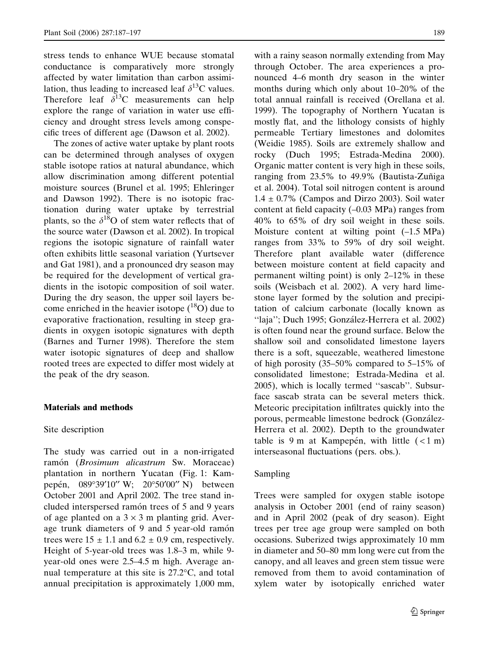stress tends to enhance WUE because stomatal conductance is comparatively more strongly affected by water limitation than carbon assimilation, thus leading to increased leaf  $\delta^{13}$ C values. Therefore leaf  $\delta^{13}$ C measurements can help explore the range of variation in water use efficiency and drought stress levels among conspecific trees of different age (Dawson et al. 2002).

The zones of active water uptake by plant roots can be determined through analyses of oxygen stable isotope ratios at natural abundance, which allow discrimination among different potential moisture sources (Brunel et al. 1995; Ehleringer and Dawson 1992). There is no isotopic fractionation during water uptake by terrestrial plants, so the  $\delta^{18}$ O of stem water reflects that of the source water (Dawson et al. 2002). In tropical regions the isotopic signature of rainfall water often exhibits little seasonal variation (Yurtsever and Gat 1981), and a pronounced dry season may be required for the development of vertical gradients in the isotopic composition of soil water. During the dry season, the upper soil layers become enriched in the heavier isotope  $(^{18}O)$  due to evaporative fractionation, resulting in steep gradients in oxygen isotopic signatures with depth (Barnes and Turner 1998). Therefore the stem water isotopic signatures of deep and shallow rooted trees are expected to differ most widely at the peak of the dry season.

#### Materials and methods

#### Site description

The study was carried out in a non-irrigated ramón (Brosimum alicastrum Sw. Moraceae) plantation in northern Yucatan (Fig. 1: Kampepén, 089°39'10″ W; 20°50'00″ N) between October 2001 and April 2002. The tree stand included interspersed ramón trees of 5 and 9 years of age planted on a  $3 \times 3$  m planting grid. Average trunk diameters of 9 and 5 year-old ramón trees were  $15 \pm 1.1$  and  $6.2 \pm 0.9$  cm, respectively. Height of 5-year-old trees was 1.8–3 m, while 9 year-old ones were 2.5–4.5 m high. Average annual temperature at this site is 27.2°C, and total annual precipitation is approximately 1,000 mm,

with a rainy season normally extending from May through October. The area experiences a pronounced 4–6 month dry season in the winter months during which only about 10–20% of the total annual rainfall is received (Orellana et al. 1999). The topography of Northern Yucatan is mostly flat, and the lithology consists of highly permeable Tertiary limestones and dolomites (Weidie 1985). Soils are extremely shallow and rocky (Duch 1995; Estrada-Medina 2000). Organic matter content is very high in these soils, ranging from 23.5% to 49.9% (Bautista-Zuñiga et al. 2004). Total soil nitrogen content is around  $1.4 \pm 0.7\%$  (Campos and Dirzo 2003). Soil water content at field capacity  $(-0.03 \text{ MPa})$  ranges from 40% to 65% of dry soil weight in these soils. Moisture content at wilting point (–1.5 MPa) ranges from 33% to 59% of dry soil weight. Therefore plant available water (difference between moisture content at field capacity and permanent wilting point) is only 2–12% in these soils (Weisbach et al. 2002). A very hard limestone layer formed by the solution and precipitation of calcium carbonate (locally known as "laja"; Duch 1995; González-Herrera et al. 2002) is often found near the ground surface. Below the shallow soil and consolidated limestone layers there is a soft, squeezable, weathered limestone of high porosity (35–50% compared to 5–15% of consolidated limestone; Estrada-Medina et al. 2005), which is locally termed ''sascab''. Subsurface sascab strata can be several meters thick. Meteoric precipitation infiltrates quickly into the porous, permeable limestone bedrock (González-Herrera et al. 2002). Depth to the groundwater table is 9 m at Kampepén, with little  $(< 1 \text{ m})$ interseasonal fluctuations (pers. obs.).

#### Sampling

Trees were sampled for oxygen stable isotope analysis in October 2001 (end of rainy season) and in April 2002 (peak of dry season). Eight trees per tree age group were sampled on both occasions. Suberized twigs approximately 10 mm in diameter and 50–80 mm long were cut from the canopy, and all leaves and green stem tissue were removed from them to avoid contamination of xylem water by isotopically enriched water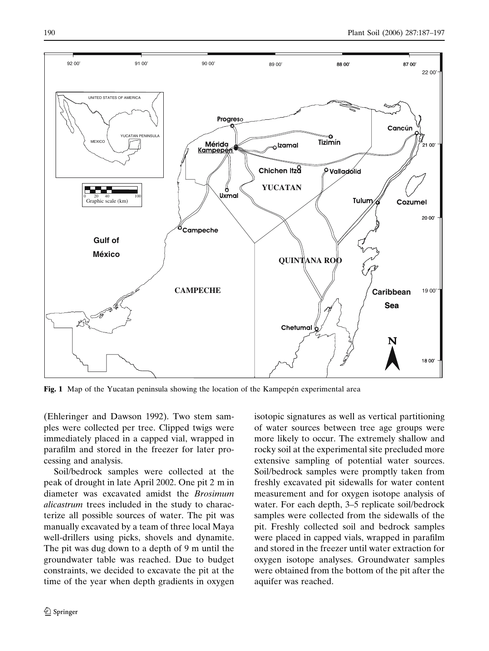

Fig. 1 Map of the Yucatan peninsula showing the location of the Kampepen experimental area

(Ehleringer and Dawson 1992). Two stem samples were collected per tree. Clipped twigs were immediately placed in a capped vial, wrapped in parafilm and stored in the freezer for later processing and analysis.

Soil/bedrock samples were collected at the peak of drought in late April 2002. One pit 2 m in diameter was excavated amidst the Brosimum alicastrum trees included in the study to characterize all possible sources of water. The pit was manually excavated by a team of three local Maya well-drillers using picks, shovels and dynamite. The pit was dug down to a depth of 9 m until the groundwater table was reached. Due to budget constraints, we decided to excavate the pit at the time of the year when depth gradients in oxygen

isotopic signatures as well as vertical partitioning of water sources between tree age groups were more likely to occur. The extremely shallow and rocky soil at the experimental site precluded more extensive sampling of potential water sources. Soil/bedrock samples were promptly taken from freshly excavated pit sidewalls for water content measurement and for oxygen isotope analysis of water. For each depth, 3–5 replicate soil/bedrock samples were collected from the sidewalls of the pit. Freshly collected soil and bedrock samples were placed in capped vials, wrapped in parafilm and stored in the freezer until water extraction for oxygen isotope analyses. Groundwater samples were obtained from the bottom of the pit after the aquifer was reached.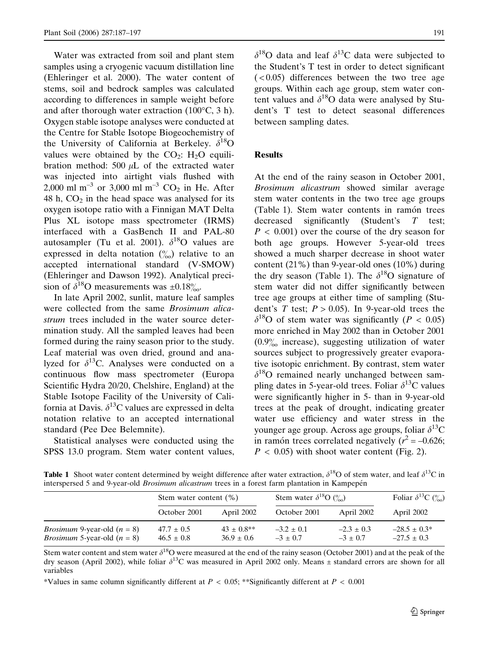Water was extracted from soil and plant stem samples using a cryogenic vacuum distillation line (Ehleringer et al. 2000). The water content of stems, soil and bedrock samples was calculated according to differences in sample weight before and after thorough water extraction  $(100^{\circ}C, 3 h)$ . Oxygen stable isotope analyses were conducted at the Centre for Stable Isotope Biogeochemistry of the University of California at Berkeley.  $\delta^{18}O$ values were obtained by the  $CO<sub>2</sub>$ : H<sub>2</sub>O equilibration method: 500  $\mu$ L of the extracted water was injected into airtight vials flushed with 2,000 ml m<sup>-3</sup> or 3,000 ml m<sup>-3</sup> CO<sub>2</sub> in He. After 48 h,  $CO<sub>2</sub>$  in the head space was analysed for its oxygen isotope ratio with a Finnigan MAT Delta Plus XL isotope mass spectrometer (IRMS) interfaced with a GasBench II and PAL-80 autosampler (Tu et al. 2001).  $\delta^{18}$ O values are expressed in delta notation  $\binom{0}{0}$  relative to an accepted international standard (V-SMOW) (Ehleringer and Dawson 1992). Analytical precision of  $\delta^{18}$ O measurements was ±0.18‰.

In late April 2002, sunlit, mature leaf samples were collected from the same Brosimum alicastrum trees included in the water source determination study. All the sampled leaves had been formed during the rainy season prior to the study. Leaf material was oven dried, ground and analyzed for  $\delta^{13}$ C. Analyses were conducted on a continuous flow mass spectrometer (Europa Scientific Hydra 20/20, Chelshire, England) at the Stable Isotope Facility of the University of California at Davis.  $\delta^{13}$ C values are expressed in delta notation relative to an accepted international standard (Pee Dee Belemnite).

Statistical analyses were conducted using the SPSS 13.0 program. Stem water content values,  $\delta^{18}$ O data and leaf  $\delta^{13}$ C data were subjected to the Student's T test in order to detect significant  $( $0.05$ ) differences between the two tree age$ groups. Within each age group, stem water content values and  $\delta^{18}$ O data were analysed by Student's T test to detect seasonal differences between sampling dates.

## **Results**

At the end of the rainy season in October 2001, Brosimum alicastrum showed similar average stem water contents in the two tree age groups (Table 1). Stem water contents in ramón trees decreased significantly (Student's T test;  $P < 0.001$ ) over the course of the dry season for both age groups. However 5-year-old trees showed a much sharper decrease in shoot water content (21%) than 9-year-old ones (10%) during the dry season (Table 1). The  $\delta^{18}O$  signature of stem water did not differ significantly between tree age groups at either time of sampling (Student's T test;  $P > 0.05$ ). In 9-year-old trees the  $\delta^{18}$ O of stem water was significantly (P < 0.05) more enriched in May 2002 than in October 2001  $(0.9\%$  increase), suggesting utilization of water sources subject to progressively greater evaporative isotopic enrichment. By contrast, stem water  $\delta^{18}$ O remained nearly unchanged between sampling dates in 5-year-old trees. Foliar  $\delta^{13}$ C values were significantly higher in 5- than in 9-year-old trees at the peak of drought, indicating greater water use efficiency and water stress in the younger age group. Across age groups, foliar  $\delta^{13}$ C in ramón trees correlated negatively ( $r^2 = -0.626$ ;  $P < 0.05$ ) with shoot water content (Fig. 2).

**Table 1** Shoot water content determined by weight difference after water extraction,  $\delta^{18}O$  of stem water, and leaf  $\delta^{13}C$  in interspersed 5 and 9-year-old Brosimum alicastrum trees in a forest farm plantation in Kampepén

|                                                                              | Stem water content $(\% )$       |                                   | Stem water $\delta^{18}O\ (\%_0)$ |                              | Foliar $\delta^{13}C$ (%)            |
|------------------------------------------------------------------------------|----------------------------------|-----------------------------------|-----------------------------------|------------------------------|--------------------------------------|
|                                                                              | October 2001                     | April 2002                        | October 2001                      | April 2002                   | April 2002                           |
| <i>Brosimum</i> 9-year-old $(n = 8)$<br><i>Brosimum</i> 5-year-old $(n = 8)$ | $47.7 \pm 0.5$<br>$46.5 \pm 0.8$ | $43 \pm 0.8$ **<br>$36.9 \pm 0.6$ | $-3.2 \pm 0.1$<br>$-3 \pm 0.7$    | $-2.3 \pm 0.3$<br>$-3 + 0.7$ | $-28.5 \pm 0.3^*$<br>$-27.5 \pm 0.3$ |

Stem water content and stem water  $\delta^{18}O$  were measured at the end of the rainy season (October 2001) and at the peak of the dry season (April 2002), while foliar  $\delta^{13}$ C was measured in April 2002 only. Means ± standard errors are shown for all variables

\*Values in same column significantly different at  $P < 0.05$ ; \*\*Significantly different at  $P < 0.001$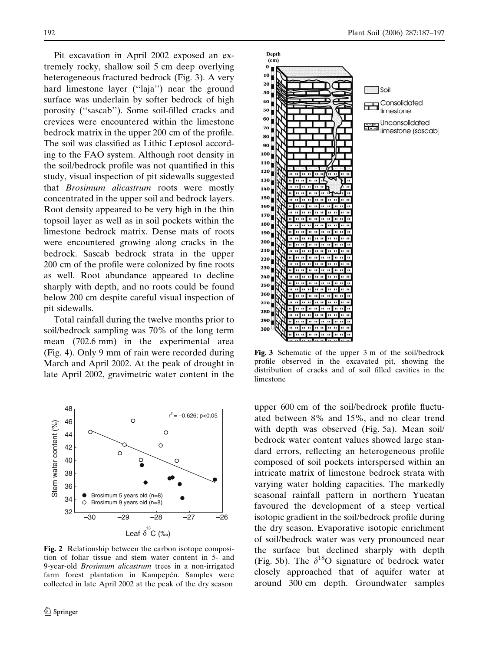Pit excavation in April 2002 exposed an extremely rocky, shallow soil 5 cm deep overlying heterogeneous fractured bedrock (Fig. 3). A very hard limestone layer ("laja") near the ground surface was underlain by softer bedrock of high porosity (''sascab''). Some soil-filled cracks and crevices were encountered within the limestone bedrock matrix in the upper 200 cm of the profile. The soil was classified as Lithic Leptosol according to the FAO system. Although root density in the soil/bedrock profile was not quantified in this study, visual inspection of pit sidewalls suggested that Brosimum alicastrum roots were mostly concentrated in the upper soil and bedrock layers. Root density appeared to be very high in the thin topsoil layer as well as in soil pockets within the limestone bedrock matrix. Dense mats of roots were encountered growing along cracks in the bedrock. Sascab bedrock strata in the upper 200 cm of the profile were colonized by fine roots as well. Root abundance appeared to decline sharply with depth, and no roots could be found below 200 cm despite careful visual inspection of pit sidewalls.

Total rainfall during the twelve months prior to soil/bedrock sampling was 70% of the long term mean (702.6 mm) in the experimental area (Fig. 4). Only 9 mm of rain were recorded during March and April 2002. At the peak of drought in late April 2002, gravimetric water content in the



Fig. 2 Relationship between the carbon isotope composition of foliar tissue and stem water content in 5- and 9-year-old Brosimum alicastrum trees in a non-irrigated farm forest plantation in Kampepén. Samples were collected in late April 2002 at the peak of the dry season



Fig. 3 Schematic of the upper 3 m of the soil/bedrock profile observed in the excavated pit, showing the distribution of cracks and of soil filled cavities in the limestone

upper 600 cm of the soil/bedrock profile fluctuated between 8% and 15%, and no clear trend with depth was observed (Fig. 5a). Mean soil/ bedrock water content values showed large standard errors, reflecting an heterogeneous profile composed of soil pockets interspersed within an intricate matrix of limestone bedrock strata with varying water holding capacities. The markedly seasonal rainfall pattern in northern Yucatan favoured the development of a steep vertical isotopic gradient in the soil/bedrock profile during the dry season. Evaporative isotopic enrichment of soil/bedrock water was very pronounced near the surface but declined sharply with depth (Fig. 5b). The  $\delta^{18}O$  signature of bedrock water closely approached that of aquifer water at around 300 cm depth. Groundwater samples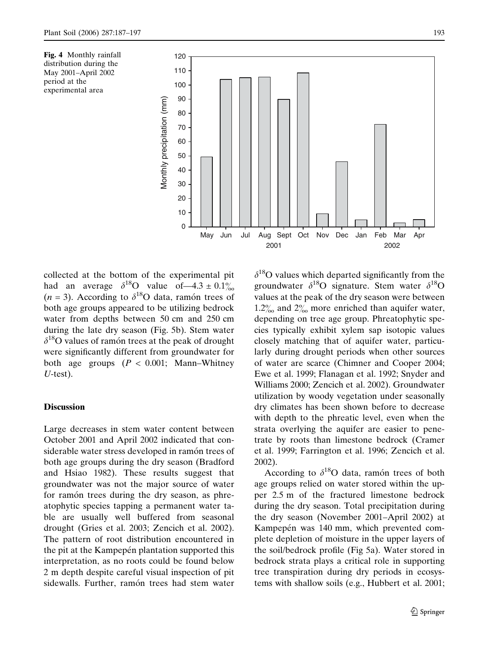Fig. 4 Monthly rainfall distribution during the May 2001–April 2002 period at the experimental area



collected at the bottom of the experimental pit had an average  $\delta^{18}$ O value of -4.3 ± 0.1%  $(n = 3)$ . According to  $\delta^{18}$ O data, ramón trees of both age groups appeared to be utilizing bedrock water from depths between 50 cm and 250 cm during the late dry season (Fig. 5b). Stem water  $\delta^{18}$ O values of ramón trees at the peak of drought were significantly different from groundwater for both age groups  $(P < 0.001$ ; Mann–Whitney U-test).

#### **Discussion**

Large decreases in stem water content between October 2001 and April 2002 indicated that considerable water stress developed in ramón trees of both age groups during the dry season (Bradford and Hsiao 1982). These results suggest that groundwater was not the major source of water for ramón trees during the dry season, as phreatophytic species tapping a permanent water table are usually well buffered from seasonal drought (Gries et al. 2003; Zencich et al. 2002). The pattern of root distribution encountered in the pit at the Kampepén plantation supported this interpretation, as no roots could be found below 2 m depth despite careful visual inspection of pit sidewalls. Further, ramón trees had stem water

 $\delta^{18}$ O values which departed significantly from the groundwater  $\delta^{18}O$  signature. Stem water  $\delta^{18}O$ values at the peak of the dry season were between 1.2 $\%$  and 2 $\%$  more enriched than aquifer water, depending on tree age group. Phreatophytic species typically exhibit xylem sap isotopic values closely matching that of aquifer water, particularly during drought periods when other sources of water are scarce (Chimner and Cooper 2004; Ewe et al. 1999; Flanagan et al. 1992; Snyder and Williams 2000; Zencich et al. 2002). Groundwater utilization by woody vegetation under seasonally dry climates has been shown before to decrease with depth to the phreatic level, even when the strata overlying the aquifer are easier to penetrate by roots than limestone bedrock (Cramer et al. 1999; Farrington et al. 1996; Zencich et al. 2002).

According to  $\delta^{18}$ O data, ramón trees of both age groups relied on water stored within the upper 2.5 m of the fractured limestone bedrock during the dry season. Total precipitation during the dry season (November 2001–April 2002) at Kampepén was 140 mm, which prevented complete depletion of moisture in the upper layers of the soil/bedrock profile (Fig 5a). Water stored in bedrock strata plays a critical role in supporting tree transpiration during dry periods in ecosystems with shallow soils (e.g., Hubbert et al. 2001;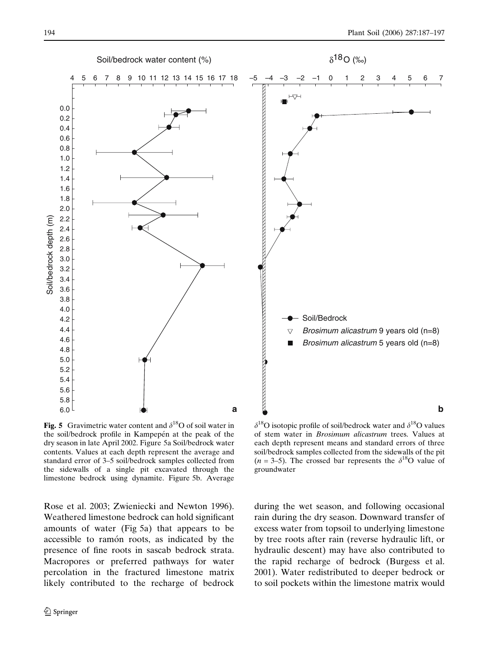

Fig. 5 Gravimetric water content and  $\delta^{18}$ O of soil water in the soil/bedrock profile in Kampepén at the peak of the dry season in late April 2002. Figure 5a Soil/bedrock water contents. Values at each depth represent the average and standard error of 3–5 soil/bedrock samples collected from the sidewalls of a single pit excavated through the limestone bedrock using dynamite. Figure 5b. Average

Rose et al. 2003; Zwieniecki and Newton 1996). Weathered limestone bedrock can hold significant amounts of water (Fig 5a) that appears to be accessible to ramón roots, as indicated by the presence of fine roots in sascab bedrock strata. Macropores or preferred pathways for water percolation in the fractured limestone matrix likely contributed to the recharge of bedrock

 $\delta^{18}$ O isotopic profile of soil/bedrock water and  $\delta^{18}$ O values of stem water in Brosimum alicastrum trees. Values at each depth represent means and standard errors of three soil/bedrock samples collected from the sidewalls of the pit ( $n = 3-5$ ). The crossed bar represents the  $\delta^{18}$ O value of groundwater

during the wet season, and following occasional rain during the dry season. Downward transfer of excess water from topsoil to underlying limestone by tree roots after rain (reverse hydraulic lift, or hydraulic descent) may have also contributed to the rapid recharge of bedrock (Burgess et al. 2001). Water redistributed to deeper bedrock or to soil pockets within the limestone matrix would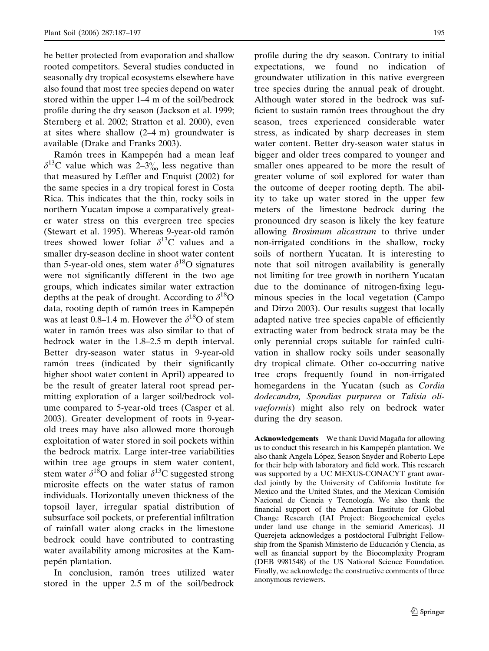be better protected from evaporation and shallow rooted competitors. Several studies conducted in seasonally dry tropical ecosystems elsewhere have also found that most tree species depend on water stored within the upper 1–4 m of the soil/bedrock profile during the dry season (Jackson et al. 1999; Sternberg et al. 2002; Stratton et al. 2000), even at sites where shallow (2–4 m) groundwater is available (Drake and Franks 2003).

Ramón trees in Kampepén had a mean leaf  $\delta^{13}$ C value which was 2–3% less negative than that measured by Leffler and Enquist (2002) for the same species in a dry tropical forest in Costa Rica. This indicates that the thin, rocky soils in northern Yucatan impose a comparatively greater water stress on this evergreen tree species (Stewart et al. 1995). Whereas 9-year-old ramón trees showed lower foliar  $\delta^{13}$ C values and a smaller dry-season decline in shoot water content than 5-year-old ones, stem water  $\delta^{18}$ O signatures were not significantly different in the two age groups, which indicates similar water extraction depths at the peak of drought. According to  $\delta^{18}O$ data, rooting depth of ramón trees in Kampepén was at least 0.8–1.4 m. However the  $\delta^{18}O$  of stem water in ramón trees was also similar to that of bedrock water in the 1.8–2.5 m depth interval. Better dry-season water status in 9-year-old ramón trees (indicated by their significantly higher shoot water content in April) appeared to be the result of greater lateral root spread permitting exploration of a larger soil/bedrock volume compared to 5-year-old trees (Casper et al. 2003). Greater development of roots in 9-yearold trees may have also allowed more thorough exploitation of water stored in soil pockets within the bedrock matrix. Large inter-tree variabilities within tree age groups in stem water content, stem water  $\delta^{18}$ O and foliar  $\delta^{13}$ C suggested strong microsite effects on the water status of ramon individuals. Horizontally uneven thickness of the topsoil layer, irregular spatial distribution of subsurface soil pockets, or preferential infiltration of rainfall water along cracks in the limestone bedrock could have contributed to contrasting water availability among microsites at the Kampepén plantation.

In conclusion, ramón trees utilized water stored in the upper 2.5 m of the soil/bedrock profile during the dry season. Contrary to initial expectations, we found no indication of groundwater utilization in this native evergreen tree species during the annual peak of drought. Although water stored in the bedrock was sufficient to sustain ramón trees throughout the dry season, trees experienced considerable water stress, as indicated by sharp decreases in stem water content. Better dry-season water status in bigger and older trees compared to younger and smaller ones appeared to be more the result of greater volume of soil explored for water than the outcome of deeper rooting depth. The ability to take up water stored in the upper few meters of the limestone bedrock during the pronounced dry season is likely the key feature allowing Brosimum alicastrum to thrive under non-irrigated conditions in the shallow, rocky soils of northern Yucatan. It is interesting to note that soil nitrogen availability is generally not limiting for tree growth in northern Yucatan due to the dominance of nitrogen-fixing leguminous species in the local vegetation (Campo and Dirzo 2003). Our results suggest that locally adapted native tree species capable of efficiently extracting water from bedrock strata may be the only perennial crops suitable for rainfed cultivation in shallow rocky soils under seasonally dry tropical climate. Other co-occurring native tree crops frequently found in non-irrigated homegardens in the Yucatan (such as Cordia dodecandra, Spondias purpurea or Talisia olivaeformis) might also rely on bedrock water during the dry season.

Acknowledgements We thank David Magaña for allowing us to conduct this research in his Kampepén plantation. We also thank Angela López, Season Snyder and Roberto Lepe for their help with laboratory and field work. This research was supported by a UC MEXUS-CONACYT grant awarded jointly by the University of California Institute for Mexico and the United States, and the Mexican Comisión Nacional de Ciencia y Tecnología. We also thank the financial support of the American Institute for Global Change Research (IAI Project: Biogeochemical cycles under land use change in the semiarid Americas). JI Querejeta acknowledges a postdoctoral Fulbright Fellowship from the Spanish Ministerio de Educación y Ciencia, as well as financial support by the Biocomplexity Program (DEB 9981548) of the US National Science Foundation. Finally, we acknowledge the constructive comments of three anonymous reviewers.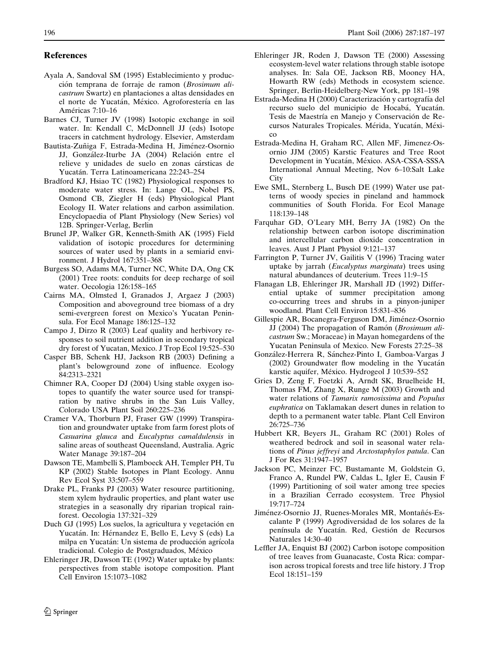### References

- Ayala A, Sandoval SM (1995) Establecimiento y producción temprana de forraje de ramon (Brosimum alicastrum Swartz) en plantaciones a altas densidades en el norte de Yucatán, México. Agroforestería en las Américas 7:10-16
- Barnes CJ, Turner JV (1998) Isotopic exchange in soil water. In: Kendall C, McDonnell JJ (eds) Isotope tracers in catchment hydrology. Elsevier, Amsterdam
- Bautista-Zuñiga F, Estrada-Medina H, Jiménez-Osornio JJ, González-Iturbe JA (2004) Relación entre el relieve y unidades de suelo en zonas cársticas de Yucatán. Terra Latinoamericana 22:243-254
- Bradford KJ, Hsiao TC (1982) Physiological responses to moderate water stress. In: Lange OL, Nobel PS, Osmond CB, Ziegler H (eds) Physiological Plant Ecology II. Water relations and carbon assimilation. Encyclopaedia of Plant Physiology (New Series) vol 12B. Springer-Verlag, Berlin
- Brunel JP, Walker GR, Kenneth-Smith AK (1995) Field validation of isotopic procedures for determining sources of water used by plants in a semiarid environment. J Hydrol 167:351–368
- Burgess SO, Adams MA, Turner NC, White DA, Ong CK (2001) Tree roots: conduits for deep recharge of soil water. Oecologia 126:158–165
- Cairns MA, Olmsted I, Granados J, Argaez J (2003) Composition and aboveground tree biomass of a dry semi-evergreen forest on Mexico's Yucatan Peninsula. For Ecol Manage 186:125–132
- Campo J, Dirzo R (2003) Leaf quality and herbivory responses to soil nutrient addition in secondary tropical dry forest of Yucatan, Mexico. J Trop Ecol 19:525–530
- Casper BB, Schenk HJ, Jackson RB (2003) Defining a plant's belowground zone of influence. Ecology 84:2313–2321
- Chimner RA, Cooper DJ (2004) Using stable oxygen isotopes to quantify the water source used for transpiration by native shrubs in the San Luis Valley, Colorado USA Plant Soil 260:225–236
- Cramer VA, Thorburn PJ, Fraser GW (1999) Transpiration and groundwater uptake from farm forest plots of Casuarina glauca and Eucalyptus camaldulensis in saline areas of southeast Queensland, Australia. Agric Water Manage 39:187–204
- Dawson TE, Mambelli S, Plamboeck AH, Templer PH, Tu KP (2002) Stable Isotopes in Plant Ecology. Annu Rev Ecol Syst 33:507–559
- Drake PL, Franks PJ (2003) Water resource partitioning, stem xylem hydraulic properties, and plant water use strategies in a seasonally dry riparian tropical rainforest. Oecologia 137:321–329
- Duch GJ (1995) Los suelos, la agricultura y vegetación en Yucatán. In: Hérnandez E, Bello E, Levy S (eds) La milpa en Yucatán: Un sistema de producción agrícola tradicional. Colegio de Postgraduados, México
- Ehleringer JR, Dawson TE (1992) Water uptake by plants: perspectives from stable isotope composition. Plant Cell Environ 15:1073–1082
- Ehleringer JR, Roden J, Dawson TE (2000) Assessing ecosystem-level water relations through stable isotope analyses. In: Sala OE, Jackson RB, Mooney HA, Howarth RW (eds) Methods in ecosystem science. Springer, Berlin-Heidelberg-New York, pp 181–198
- Estrada-Medina H (2000) Caracterización y cartografía del recurso suelo del municipio de Hocabá, Yucatán. Tesis de Maestría en Manejo y Conservación de Recursos Naturales Tropicales. Mérida, Yucatán, México
- Estrada-Medina H, Graham RC, Allen MF, Jimenez-Osornio JJM (2005) Karstic Features and Tree Root Development in Yucatán, México. ASA-CSSA-SSSA International Annual Meeting, Nov 6–10:Salt Lake **City**
- Ewe SML, Sternberg L, Busch DE (1999) Water use patterns of woody species in pineland and hammock communities of South Florida. For Ecol Manage 118:139–148
- Farquhar GD, O'Leary MH, Berry JA (1982) On the relationship between carbon isotope discrimination and intercellular carbon dioxide concentration in leaves. Aust J Plant Physiol 9:121–137
- Farrington P, Turner JV, Gailitis V (1996) Tracing water uptake by jarrah (Eucalyptus marginata) trees using natural abundances of deuterium. Trees 11:9–15
- Flanagan LB, Ehleringer JR, Marshall JD (1992) Differential uptake of summer precipitation among co-occurring trees and shrubs in a pinyon-juniper woodland. Plant Cell Environ 15:831–836
- Gillespie AR, Bocanegra-Ferguson DM, Jiménez-Osornio JJ (2004) The propagation of Ramón (Brosimum alicastrum Sw.; Moraceae) in Mayan homegardens of the Yucatan Peninsula of Mexico. New Forests 27:25–38
- González-Herrera R, Sánchez-Pinto I, Gamboa-Vargas J (2002) Groundwater flow modeling in the Yucatán karstic aquifer, México. Hydrogeol J 10:539-552
- Gries D, Zeng F, Foetzki A, Arndt SK, Bruelheide H, Thomas FM, Zhang X, Runge M (2003) Growth and water relations of Tamarix ramosissima and Populus euphratica on Taklamakan desert dunes in relation to depth to a permanent water table. Plant Cell Environ 26:725–736
- Hubbert KR, Beyers JL, Graham RC (2001) Roles of weathered bedrock and soil in seasonal water relations of Pinus jeffreyi and Arctostaphylos patula. Can J For Res 31:1947–1957
- Jackson PC, Meinzer FC, Bustamante M, Goldstein G, Franco A, Rundel PW, Caldas L, Igler E, Causin F (1999) Partitioning of soil water among tree species in a Brazilian Cerrado ecosystem. Tree Physiol 19:717–724
- Jiménez-Osornio JJ, Ruenes-Morales MR, Montañés-Escalante P (1999) Agrodiversidad de los solares de la península de Yucatán. Red, Gestión de Recursos Naturales 14:30–40
- Leffler JA, Enquist BJ (2002) Carbon isotope composition of tree leaves from Guanacaste, Costa Rica: comparison across tropical forests and tree life history. J Trop Ecol 18:151–159